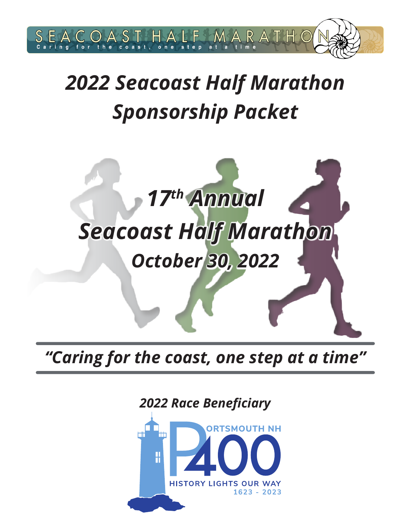

# *2022 Seacoast Half Marathon Sponsorship Packet*



# *"Caring for the coast, one step at a time"*

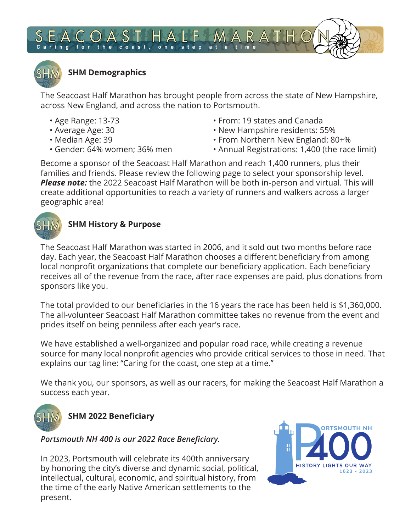



#### **SHM Demographics**

The Seacoast Half Marathon has brought people from across the state of New Hampshire, across New England, and across the nation to Portsmouth.

- Age Range: 13-73
- Average Age: 30
- Median Age: 39
- Gender: 64% women; 36% men
- From: 19 states and Canada
- New Hampshire residents: 55%
- From Northern New England: 80+%
- Annual Registrations: 1,400 (the race limit)

Become a sponsor of the Seacoast Half Marathon and reach 1,400 runners, plus their families and friends. Please review the following page to select your sponsorship level. *Please note:* the 2022 Seacoast Half Marathon will be both in-person and virtual. This will create additional opportunities to reach a variety of runners and walkers across a larger geographic area!



#### **SHM History & Purpose**

The Seacoast Half Marathon was started in 2006, and it sold out two months before race day. Each year, the Seacoast Half Marathon chooses a different beneficiary from among local nonprofit organizations that complete our beneficiary application. Each beneficiary receives all of the revenue from the race, after race expenses are paid, plus donations from sponsors like you.

The total provided to our beneficiaries in the 16 years the race has been held is \$1,360,000. The all-volunteer Seacoast Half Marathon committee takes no revenue from the event and prides itself on being penniless after each year's race.

We have established a well-organized and popular road race, while creating a revenue source for many local nonprofit agencies who provide critical services to those in need. That explains our tag line: "Caring for the coast, one step at a time."

We thank you, our sponsors, as well as our racers, for making the Seacoast Half Marathon a success each year.



#### **SHM 2022 Beneficiary**

#### *Portsmouth NH 400 is our 2022 Race Beneficiary.*

In 2023, Portsmouth will celebrate its 400th anniversary by honoring the city's diverse and dynamic social, political, intellectual, cultural, economic, and spiritual history, from the time of the early Native American settlements to the present.

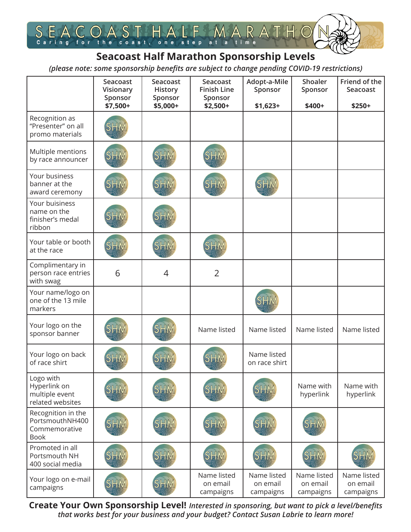

## **Seacoast Half Marathon Sponsorship Levels**

*(please note: some sponsorship benefits are subject to change pending COVID-19 restrictions)*

|                                                                       | Seacoast<br>Visionary<br>Sponsor<br>\$7,500+ | Seacoast<br><b>History</b><br>Sponsor<br>\$5,000+ | Seacoast<br><b>Finish Line</b><br>Sponsor<br>$$2,500+$ | Adopt-a-Mile<br>Sponsor<br>$$1,623+$ | Shoaler<br>Sponsor<br>\$400+         | Friend of the<br>Seacoast<br>\$250+  |
|-----------------------------------------------------------------------|----------------------------------------------|---------------------------------------------------|--------------------------------------------------------|--------------------------------------|--------------------------------------|--------------------------------------|
| Recognition as<br>"Presenter" on all<br>promo materials               | <b>SHM</b>                                   |                                                   |                                                        |                                      |                                      |                                      |
| Multiple mentions<br>by race announcer                                | <b>SHM</b>                                   | <b>SHM</b>                                        | <b>SHM</b>                                             |                                      |                                      |                                      |
| Your business<br>banner at the<br>award ceremony                      | <b>SHM</b>                                   | <b>SHM</b>                                        | <b>SHM</b>                                             | <b>SHM</b>                           |                                      |                                      |
| Your buisiness<br>name on the<br>finisher's medal<br>ribbon           | SHM                                          | <b>SHM</b>                                        |                                                        |                                      |                                      |                                      |
| Your table or booth<br>at the race                                    | <b>SHM</b>                                   | <b>SHM</b>                                        | <b>SHM</b>                                             |                                      |                                      |                                      |
| Complimentary in<br>person race entries<br>with swag                  | 6                                            | 4                                                 | $\overline{2}$                                         |                                      |                                      |                                      |
| Your name/logo on<br>one of the 13 mile<br>markers                    |                                              |                                                   |                                                        | SHM                                  |                                      |                                      |
| Your logo on the<br>sponsor banner                                    | <b>SHM</b>                                   | <b>SHM</b>                                        | Name listed                                            | Name listed                          | Name listed                          | Name listed                          |
| Your logo on back<br>of race shirt                                    | SHM                                          | SHM                                               | SHA                                                    | Name listed<br>on race shirt         |                                      |                                      |
| Logo with<br>Hyperlink on<br>multiple event<br>related websites       | <b>SHM</b>                                   | <b>SHM</b>                                        | <b>SHM</b>                                             | <b>SHM</b>                           | Name with<br>hyperlink               | Name with<br>hyperlink               |
| Recognition in the<br>PortsmouthNH400<br>Commemorative<br><b>Book</b> | <b>SHM</b>                                   | <b>SHM</b>                                        | <b>SHM</b>                                             | <b>SHM</b>                           | <b>SHM</b>                           |                                      |
| Promoted in all<br>Portsmouth NH<br>400 social media                  | <b>SHM</b>                                   | <b>SHM</b>                                        | <b>SHM</b>                                             | <b>SHM</b>                           | <b>SHM</b>                           | <b>SHM</b>                           |
| Your logo on e-mail<br>campaigns                                      | <b>SHM</b>                                   | <b>SHM</b>                                        | Name listed<br>on email<br>campaigns                   | Name listed<br>on email<br>campaigns | Name listed<br>on email<br>campaigns | Name listed<br>on email<br>campaigns |

**Create Your Own Sponsorship Level!** *Interested in sponsoring, but want to pick a level/benefits that works best for your business and your budget? Contact Susan Labrie to learn more!*